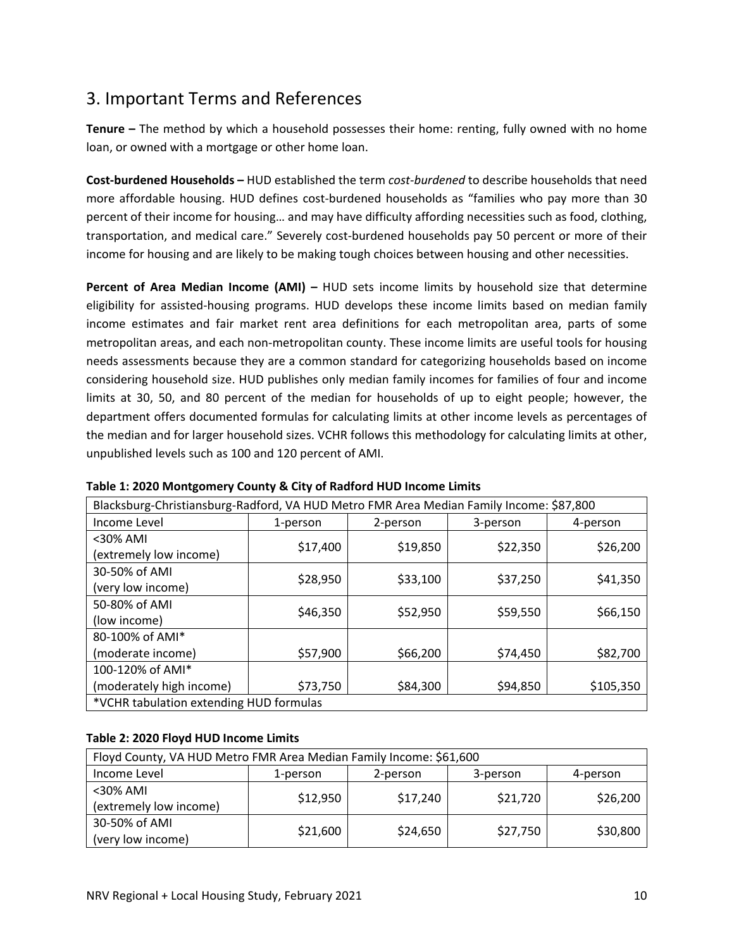# 3. Important Terms and References

**Tenure –** The method by which a household possesses their home: renting, fully owned with no home loan, or owned with a mortgage or other home loan.

**Cost‐burdened Households –** HUD established the term *cost‐burdened* to describe households that need more affordable housing. HUD defines cost-burdened households as "families who pay more than 30 percent of their income for housing… and may have difficulty affording necessities such as food, clothing, transportation, and medical care." Severely cost‐burdened households pay 50 percent or more of their income for housing and are likely to be making tough choices between housing and other necessities.

**Percent of Area Median Income (AMI) –** HUD sets income limits by household size that determine eligibility for assisted‐housing programs. HUD develops these income limits based on median family income estimates and fair market rent area definitions for each metropolitan area, parts of some metropolitan areas, and each non‐metropolitan county. These income limits are useful tools for housing needs assessments because they are a common standard for categorizing households based on income considering household size. HUD publishes only median family incomes for families of four and income limits at 30, 50, and 80 percent of the median for households of up to eight people; however, the department offers documented formulas for calculating limits at other income levels as percentages of the median and for larger household sizes. VCHR follows this methodology for calculating limits at other, unpublished levels such as 100 and 120 percent of AMI.

| Blacksburg-Christiansburg-Radford, VA HUD Metro FMR Area Median Family Income: \$87,800 |          |          |          |           |
|-----------------------------------------------------------------------------------------|----------|----------|----------|-----------|
| Income Level                                                                            | 1-person | 2-person | 3-person | 4-person  |
| <30% AMI                                                                                | \$17,400 | \$19,850 | \$22,350 | \$26,200  |
| (extremely low income)                                                                  |          |          |          |           |
| 30-50% of AMI                                                                           | \$28,950 | \$33,100 | \$37,250 | \$41,350  |
| (very low income)                                                                       |          |          |          |           |
| 50-80% of AMI                                                                           | \$46,350 | \$52,950 | \$59,550 | \$66,150  |
| (low income)                                                                            |          |          |          |           |
| 80-100% of AMI*                                                                         |          |          |          |           |
| (moderate income)                                                                       | \$57,900 | \$66,200 | \$74,450 | \$82,700  |
| 100-120% of AMI*                                                                        |          |          |          |           |
| (moderately high income)                                                                | \$73,750 | \$84,300 | \$94,850 | \$105,350 |
| *VCHR tabulation extending HUD formulas                                                 |          |          |          |           |

#### **Table 1: 2020 Montgomery County & City of Radford HUD Income Limits**

## **Table 2: 2020 Floyd HUD Income Limits**

| Floyd County, VA HUD Metro FMR Area Median Family Income: \$61,600 |          |          |          |          |
|--------------------------------------------------------------------|----------|----------|----------|----------|
| Income Level                                                       | 1-person | 2-person | 3-person | 4-person |
| $<$ 30% AMI<br>(extremely low income)                              | \$12,950 | \$17,240 | \$21,720 | \$26,200 |
| 30-50% of AMI<br>(very low income)                                 | \$21,600 | \$24,650 | \$27,750 | \$30,800 |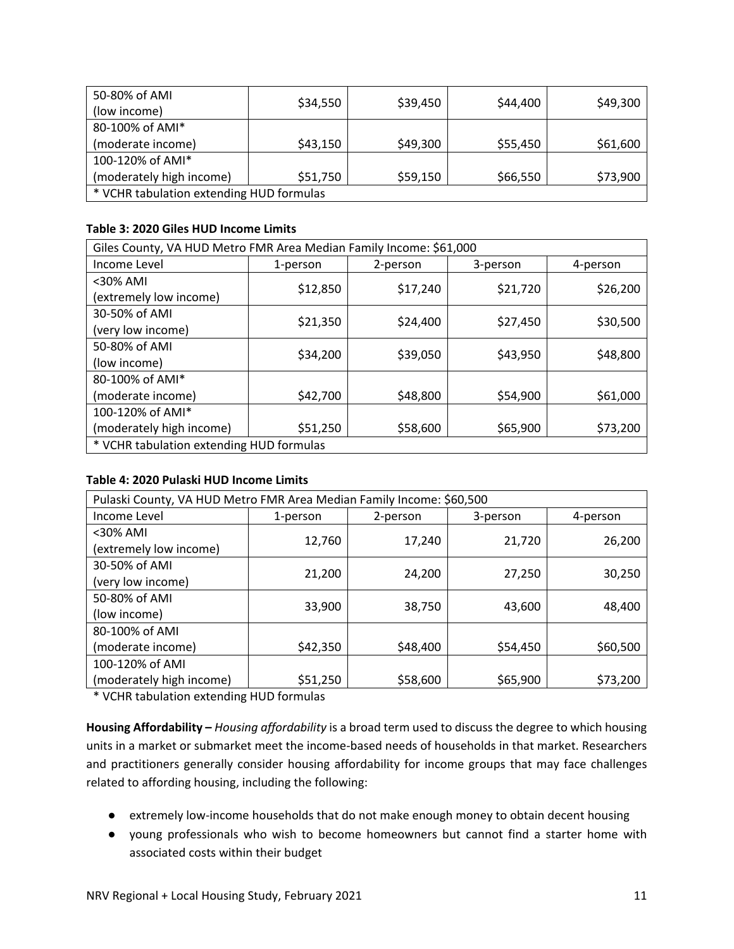| 50-80% of AMI                            |          |          |          |          |
|------------------------------------------|----------|----------|----------|----------|
| (low income)                             | \$34,550 | \$39,450 | \$44,400 | \$49,300 |
| 80-100% of AMI*                          |          |          |          |          |
| (moderate income)                        | \$43,150 | \$49,300 | \$55,450 | \$61,600 |
| 100-120% of AMI*                         |          |          |          |          |
| (moderately high income)                 | \$51,750 | \$59,150 | \$66,550 | \$73,900 |
| * VCHR tabulation extending HUD formulas |          |          |          |          |

### **Table 3: 2020 Giles HUD Income Limits**

| Giles County, VA HUD Metro FMR Area Median Family Income: \$61,000 |          |          |          |          |
|--------------------------------------------------------------------|----------|----------|----------|----------|
| Income Level                                                       | 1-person | 2-person | 3-person | 4-person |
| <30% AMI                                                           | \$12,850 | \$17,240 | \$21,720 | \$26,200 |
| (extremely low income)                                             |          |          |          |          |
| 30-50% of AMI                                                      | \$21,350 | \$24,400 | \$27,450 | \$30,500 |
| (very low income)                                                  |          |          |          |          |
| 50-80% of AMI                                                      | \$34,200 | \$39,050 | \$43,950 | \$48,800 |
| (low income)                                                       |          |          |          |          |
| 80-100% of AMI*                                                    |          |          |          |          |
| (moderate income)                                                  | \$42,700 | \$48,800 | \$54,900 | \$61,000 |
| 100-120% of AMI*                                                   |          |          |          |          |
| (moderately high income)                                           | \$51,250 | \$58,600 | \$65,900 | \$73,200 |
| * VCHR tabulation extending HUD formulas                           |          |          |          |          |

## **Table 4: 2020 Pulaski HUD Income Limits**

| Pulaski County, VA HUD Metro FMR Area Median Family Income: \$60,500 |          |          |          |          |
|----------------------------------------------------------------------|----------|----------|----------|----------|
| Income Level                                                         | 1-person | 2-person | 3-person | 4-person |
| <30% AMI                                                             | 12,760   | 17,240   | 21,720   | 26,200   |
| (extremely low income)                                               |          |          |          |          |
| 30-50% of AMI                                                        | 21,200   | 24,200   | 27,250   | 30,250   |
| (very low income)                                                    |          |          |          |          |
| 50-80% of AMI                                                        | 33,900   | 38,750   | 43,600   | 48,400   |
| (low income)                                                         |          |          |          |          |
| 80-100% of AMI                                                       |          |          |          |          |
| (moderate income)                                                    | \$42,350 | \$48,400 | \$54,450 | \$60,500 |
| 100-120% of AMI                                                      |          |          |          |          |
| (moderately high income)                                             | \$51,250 | \$58,600 | \$65,900 | \$73,200 |

\* VCHR tabulation extending HUD formulas

**Housing Affordability –** *Housing affordability* is a broad term used to discuss the degree to which housing units in a market or submarket meet the income‐based needs of households in that market. Researchers and practitioners generally consider housing affordability for income groups that may face challenges related to affording housing, including the following:

- extremely low-income households that do not make enough money to obtain decent housing
- young professionals who wish to become homeowners but cannot find a starter home with associated costs within their budget